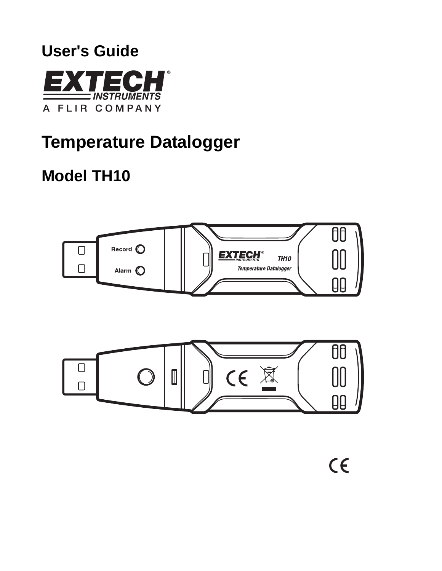# **User's Guide**



# **Temperature Datalogger**

# **Model TH10**



 $C \in$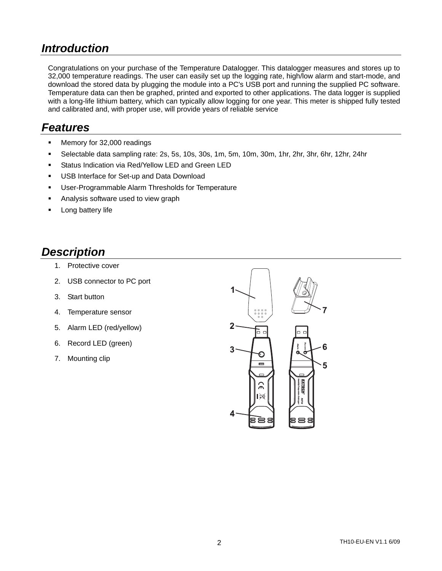### *Introduction*

Congratulations on your purchase of the Temperature Datalogger. This datalogger measures and stores up to 32,000 temperature readings. The user can easily set up the logging rate, high/low alarm and start-mode, and download the stored data by plugging the module into a PC's USB port and running the supplied PC software. Temperature data can then be graphed, printed and exported to other applications. The data logger is supplied with a long-life lithium battery, which can typically allow logging for one year. This meter is shipped fully tested and calibrated and, with proper use, will provide years of reliable service

### *Features*

- **Memory for 32,000 readings**
- Selectable data sampling rate: 2s, 5s, 10s, 30s, 1m, 5m, 10m, 30m, 1hr, 2hr, 3hr, 6hr, 12hr, 24hr
- **Status Indication via Red/Yellow LED and Green LED**
- **USB Interface for Set-up and Data Download**
- **User-Programmable Alarm Thresholds for Temperature**
- Analysis software used to view graph
- Long battery life

#### *Description*

- 1. Protective cover
- 2. USB connector to PC port
- 3. Start button
- 4. Temperature sensor
- 5. Alarm LED (red/yellow)
- 6. Record LED (green)
- 7. Mounting clip

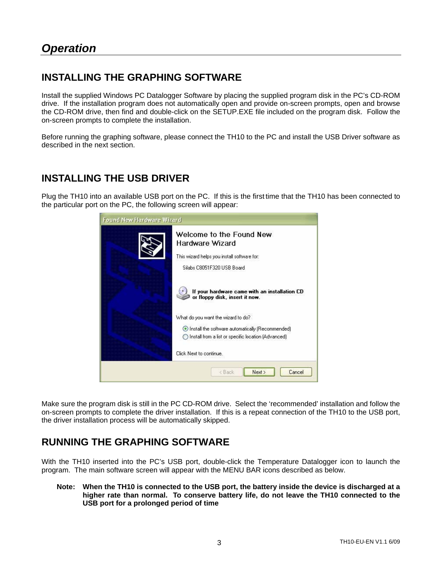#### **INSTALLING THE GRAPHING SOFTWARE**

Install the supplied Windows PC Datalogger Software by placing the supplied program disk in the PC's CD-ROM drive. If the installation program does not automatically open and provide on-screen prompts, open and browse the CD-ROM drive, then find and double-click on the SETUP.EXE file included on the program disk. Follow the on-screen prompts to complete the installation.

Before running the graphing software, please connect the TH10 to the PC and install the USB Driver software as described in the next section.

#### **INSTALLING THE USB DRIVER**

Plug the TH10 into an available USB port on the PC. If this is the first time that the TH10 has been connected to the particular port on the PC, the following screen will appear:

| Found New Hardware Wizard |                                                                                                                                                |  |
|---------------------------|------------------------------------------------------------------------------------------------------------------------------------------------|--|
|                           | Welcome to the Found New<br>Hardware Wizard<br>This wizard helps you install software for:                                                     |  |
|                           | Silabs C8051E320 LISB Board                                                                                                                    |  |
|                           | If your hardware came with an installation CD<br>or floppy disk, insert it now.                                                                |  |
|                           | What do you want the wizard to do?<br>Install the software automatically (Recommended)<br>Install from a list or specific location (Advanced). |  |
|                           | Click Next to continue.                                                                                                                        |  |
|                           | Cancel<br>Next ><br>< Back                                                                                                                     |  |

Make sure the program disk is still in the PC CD-ROM drive. Select the 'recommended' installation and follow the on-screen prompts to complete the driver installation. If this is a repeat connection of the TH10 to the USB port, the driver installation process will be automatically skipped.

#### **RUNNING THE GRAPHING SOFTWARE**

With the TH10 inserted into the PC's USB port, double-click the Temperature Datalogger icon to launch the program. The main software screen will appear with the MENU BAR icons described as below.

**Note: When the TH10 is connected to the USB port, the battery inside the device is discharged at a higher rate than normal. To conserve battery life, do not leave the TH10 connected to the USB port for a prolonged period of time**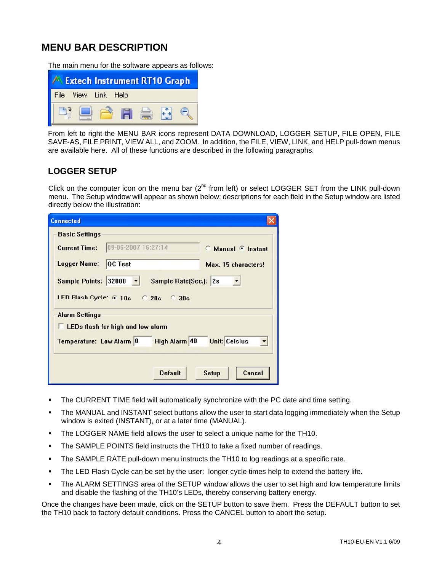#### **MENU BAR DESCRIPTION**

The main menu for the software appears as follows:

|      | <b>Extech Instrument RT10 Graph</b> |  |  |
|------|-------------------------------------|--|--|
| File | View Link Help                      |  |  |
|      |                                     |  |  |

From left to right the MENU BAR icons represent DATA DOWNLOAD, LOGGER SETUP, FILE OPEN, FILE SAVE-AS, FILE PRINT, VIEW ALL, and ZOOM. In addition, the FILE, VIEW, LINK, and HELP pull-down menus are available here. All of these functions are described in the following paragraphs.

#### **LOGGER SETUP**

Click on the computer icon on the menu bar  $(2^{nd}$  from left) or select LOGGER SET from the LINK pull-down menu. The Setup window will appear as shown below; descriptions for each field in the Setup window are listed directly below the illustration:

| <b>Connected</b>                                                  |                     |                                |  |  |
|-------------------------------------------------------------------|---------------------|--------------------------------|--|--|
| <b>Basic Settings</b>                                             |                     |                                |  |  |
| <b>Current Time:</b>                                              | 09-06-2007 16:27:14 | <b>Manual <i>C</i></b> Instant |  |  |
| <b>Logger Name:</b>                                               | <b>QC</b> Test      | Max. 15 characters!            |  |  |
| Sample Points: 32000 -<br>Sample Rate[Sec.]: 2s                   |                     |                                |  |  |
| LED Flash Cycle: 6 10s C 20s C 30s                                |                     |                                |  |  |
| <b>Alarm Settings</b><br><b>LEDs flash for high and low alarm</b> |                     |                                |  |  |
| <b>Unit: Celsius</b><br>High Alarm 40<br>Temperature: Low Alarm 0 |                     |                                |  |  |
|                                                                   |                     |                                |  |  |
|                                                                   | <b>Default</b>      | Cancel<br>Setup                |  |  |

- **The CURRENT TIME field will automatically synchronize with the PC date and time setting.**
- The MANUAL and INSTANT select buttons allow the user to start data logging immediately when the Setup window is exited (INSTANT), or at a later time (MANUAL).
- The LOGGER NAME field allows the user to select a unique name for the TH10.
- The SAMPLE POINTS field instructs the TH10 to take a fixed number of readings.
- The SAMPLE RATE pull-down menu instructs the TH10 to log readings at a specific rate.
- The LED Flash Cycle can be set by the user: longer cycle times help to extend the battery life.
- The ALARM SETTINGS area of the SETUP window allows the user to set high and low temperature limits and disable the flashing of the TH10's LEDs, thereby conserving battery energy.

Once the changes have been made, click on the SETUP button to save them. Press the DEFAULT button to set the TH10 back to factory default conditions. Press the CANCEL button to abort the setup.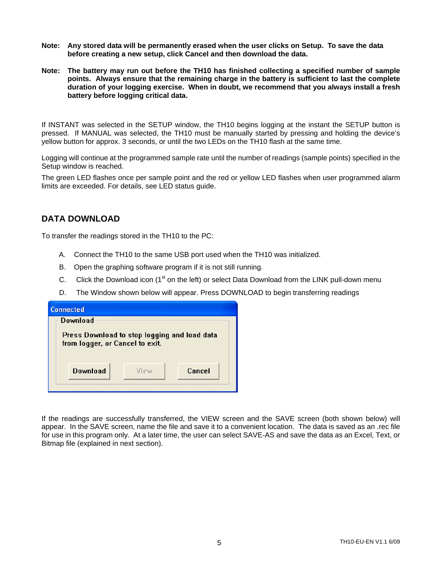- **Note: Any stored data will be permanently erased when the user clicks on Setup. To save the data before creating a new setup, click Cancel and then download the data.**
- **Note: The battery may run out before the TH10 has finished collecting a specified number of sample points. Always ensure that the remaining charge in the battery is sufficient to last the complete duration of your logging exercise. When in doubt, we recommend that you always install a fresh battery before logging critical data.**

If INSTANT was selected in the SETUP window, the TH10 begins logging at the instant the SETUP button is pressed. If MANUAL was selected, the TH10 must be manually started by pressing and holding the device's yellow button for approx. 3 seconds, or until the two LEDs on the TH10 flash at the same time.

Logging will continue at the programmed sample rate until the number of readings (sample points) specified in the Setup window is reached.

The green LED flashes once per sample point and the red or yellow LED flashes when user programmed alarm limits are exceeded. For details, see LED status guide.

#### **DATA DOWNLOAD**

To transfer the readings stored in the TH10 to the PC:

- A. Connect the TH10 to the same USB port used when the TH10 was initialized.
- B. Open the graphing software program if it is not still running.
- C. Click the Download icon ( $1<sup>st</sup>$  on the left) or select Data Download from the LINK pull-down menu
- D. The Window shown below will appear. Press DOWNLOAD to begin transferring readings

| Download                                     |  |
|----------------------------------------------|--|
| Press Download to stop logging and load data |  |
| from logger, or Cancel to exit.              |  |

If the readings are successfully transferred, the VIEW screen and the SAVE screen (both shown below) will appear. In the SAVE screen, name the file and save it to a convenient location. The data is saved as an .rec file for use in this program only. At a later time, the user can select SAVE-AS and save the data as an Excel, Text, or Bitmap file (explained in next section).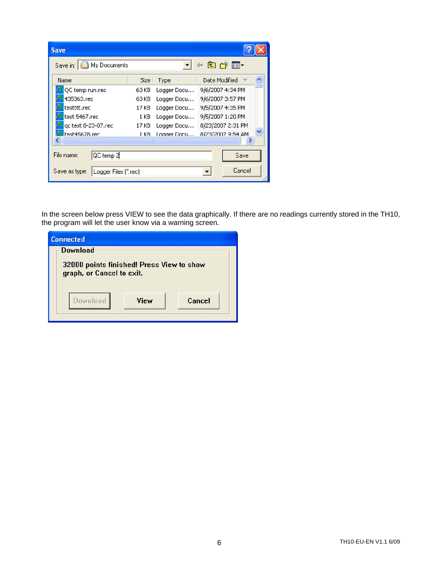| <b>Save</b>                           |       |             |                   |        |
|---------------------------------------|-------|-------------|-------------------|--------|
| Save in: H My Documents               |       |             | 自己图               |        |
| <b>Name</b>                           | Size  | Type        | Date Modified     |        |
| QC temp run.rec                       | 63 KB | Logger Docu | 9/6/2007 4:34 PM  |        |
| 435363.rec                            | 63 KB | Logger Docu | 9/6/2007 3:57 PM  |        |
| testttt.rec                           | 17 KB | Logger Docu | 9/5/2007 4:35 PM  |        |
| test 5467.rec                         | 1 KB  | Logger Docu | 9/5/2007 1:20 PM  |        |
| gc test 8-23-07.rec                   | 17 KB | Logger Docu | 8/23/2007 2:31 PM |        |
| A rest45678.rec                       | 1 KB  | Logger Docu | 8/23/2007 9:54 AM |        |
|                                       | TIII  |             |                   |        |
| QC temp 2<br>File name:               |       |             |                   | Save   |
| Save as type:<br>Logger Files [".rec] |       |             |                   | Cancel |

In the screen below press VIEW to see the data graphically. If there are no readings currently stored in the TH10, the program will let the user know via a warning screen.

| <b>Connected</b>                                                       |      |        |
|------------------------------------------------------------------------|------|--------|
| Download                                                               |      |        |
| 32000 points finished! Press View to show<br>graph, or Cancel to exit. |      |        |
| <b>Download</b>                                                        | View | Cancel |
|                                                                        |      |        |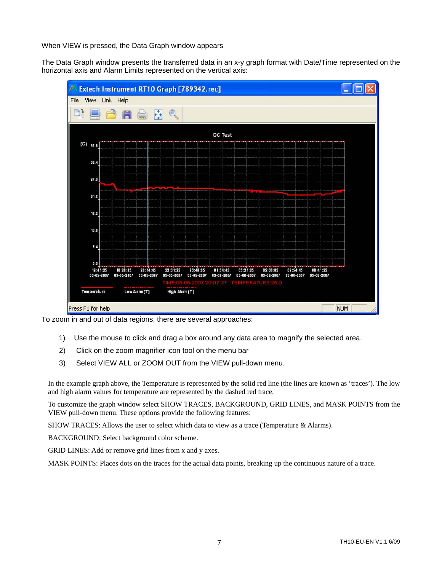When VIEW is pressed, the Data Graph window appears

The Data Graph window presents the transferred data in an x-y graph format with Date/Time represented on the horizontal axis and Alarm Limits represented on the vertical axis:



To zoom in and out of data regions, there are several approaches:

- 1) Use the mouse to click and drag a box around any data area to magnify the selected area.
- 2) Click on the zoom magnifier icon tool on the menu bar
- 3) Select VIEW ALL or ZOOM OUT from the VIEW pull-down menu.

In the example graph above, the Temperature is represented by the solid red line (the lines are known as 'traces'). The low and high alarm values for temperature are represented by the dashed red trace.

To customize the graph window select SHOW TRACES, BACKGROUND, GRID LINES, and MASK POINTS from the VIEW pull-down menu. These options provide the following features:

SHOW TRACES: Allows the user to select which data to view as a trace (Temperature & Alarms).

BACKGROUND: Select background color scheme.

GRID LINES: Add or remove grid lines from x and y axes.

MASK POINTS: Places dots on the traces for the actual data points, breaking up the continuous nature of a trace.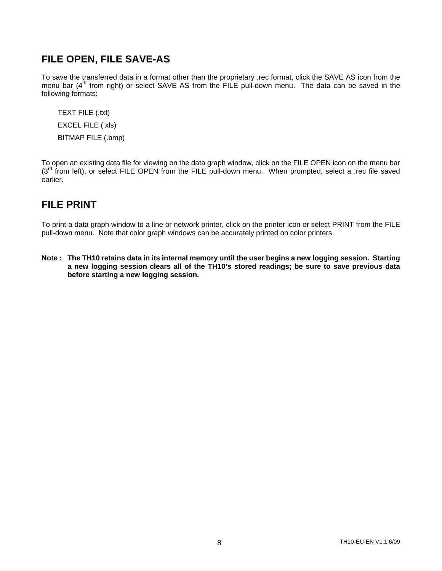#### **FILE OPEN, FILE SAVE-AS**

To save the transferred data in a format other than the proprietary .rec format, click the SAVE AS icon from the menu bar  $(4<sup>th</sup>$  from right) or select SAVE AS from the FILE pull-down menu. The data can be saved in the following formats:

TEXT FILE (.txt) EXCEL FILE (.xls) BITMAP FILE (.bmp)

To open an existing data file for viewing on the data graph window, click on the FILE OPEN icon on the menu bar (3<sup>rd</sup> from left), or select FILE OPEN from the FILE pull-down menu. When prompted, select a .rec file saved earlier.

#### **FILE PRINT**

To print a data graph window to a line or network printer, click on the printer icon or select PRINT from the FILE pull-down menu. Note that color graph windows can be accurately printed on color printers.

**Note : The TH10 retains data in its internal memory until the user begins a new logging session. Starting a new logging session clears all of the TH10's stored readings; be sure to save previous data before starting a new logging session.**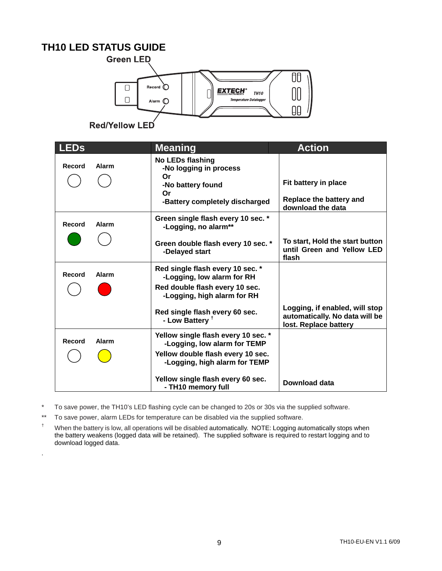#### **TH10 LED STATUS GUIDE**



Red/Yellow LED

| <b>LEDs</b> |       | <b>Meaning</b>                                                      | <b>Action</b>                                                                             |
|-------------|-------|---------------------------------------------------------------------|-------------------------------------------------------------------------------------------|
| Record      | Alarm | <b>No LEDs flashing</b><br>-No logging in process                   |                                                                                           |
|             |       | Or<br>-No battery found                                             | Fit battery in place                                                                      |
|             |       | Or<br>-Battery completely discharged                                | Replace the battery and<br>download the data                                              |
| Record      | Alarm | Green single flash every 10 sec. *<br>-Logging, no alarm**          |                                                                                           |
|             |       | Green double flash every 10 sec. *<br>-Delayed start                | To start, Hold the start button<br>until Green and Yellow LED<br>flash                    |
| Record      | Alarm | Red single flash every 10 sec. *<br>-Logging, low alarm for RH      |                                                                                           |
|             |       | Red double flash every 10 sec.<br>-Logging, high alarm for RH       |                                                                                           |
|             |       | Red single flash every 60 sec.<br>- Low Battery <sup>t</sup>        | Logging, if enabled, will stop<br>automatically. No data will be<br>lost. Replace battery |
| Record      | Alarm | Yellow single flash every 10 sec. *<br>-Logging, low alarm for TEMP |                                                                                           |
|             |       | Yellow double flash every 10 sec.<br>-Logging, high alarm for TEMP  |                                                                                           |
|             |       | Yellow single flash every 60 sec.<br>- TH10 memory full             | Download data                                                                             |

\* To save power, the TH10's LED flashing cycle can be changed to 20s or 30s via the supplied software.

\*\* To save power, alarm LEDs for temperature can be disabled via the supplied software.

.

† When the battery is low, all operations will be disabled automatically. NOTE: Logging automatically stops when the battery weakens (logged data will be retained). The supplied software is required to restart logging and to download logged data.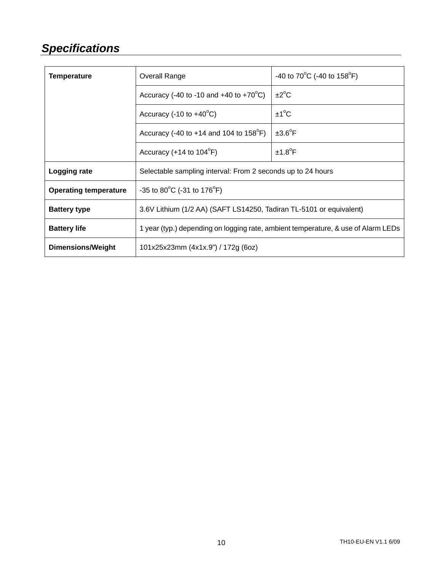## *Specifications*

| <b>Temperature</b>           | <b>Overall Range</b>                                                              | -40 to $70^{\circ}$ C (-40 to $158^{\circ}$ F) |  |
|------------------------------|-----------------------------------------------------------------------------------|------------------------------------------------|--|
|                              | Accuracy (-40 to -10 and +40 to +70 $^{\circ}$ C)                                 | $\pm 2^{\circ}C$                               |  |
|                              | Accuracy $(-10 \text{ to } +40^{\circ} \text{C})$                                 | $±1^{\circ}C$                                  |  |
|                              | Accuracy (-40 to +14 and 104 to $158^{\circ}$ F)                                  | $±3.6^{\circ}F$                                |  |
|                              | Accuracy (+14 to $104^{\circ}F$ )                                                 | $±1.8^{\circ}F$                                |  |
| Logging rate                 | Selectable sampling interval: From 2 seconds up to 24 hours                       |                                                |  |
| <b>Operating temperature</b> | -35 to 80 $^{\circ}$ C (-31 to 176 $^{\circ}$ F)                                  |                                                |  |
| <b>Battery type</b>          | 3.6V Lithium (1/2 AA) (SAFT LS14250, Tadiran TL-5101 or equivalent)               |                                                |  |
| <b>Battery life</b>          | 1 year (typ.) depending on logging rate, ambient temperature, & use of Alarm LEDs |                                                |  |
| <b>Dimensions/Weight</b>     | 101x25x23mm (4x1x.9") / 172g (6oz)                                                |                                                |  |